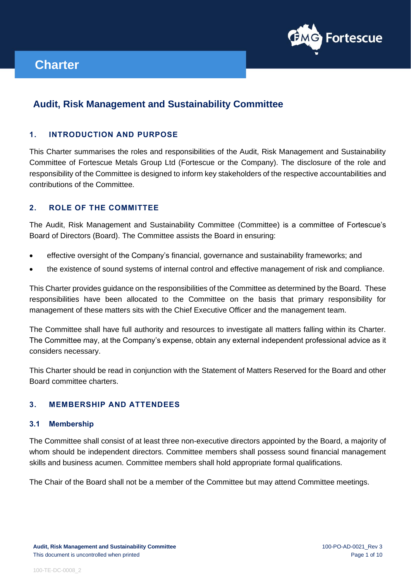

# **Audit, Risk Management and Sustainability Committee**

# **1. INTRODUCTION AND PURPOSE**

This Charter summarises the roles and responsibilities of the Audit, Risk Management and Sustainability Committee of Fortescue Metals Group Ltd (Fortescue or the Company). The disclosure of the role and responsibility of the Committee is designed to inform key stakeholders of the respective accountabilities and contributions of the Committee.

# **2. ROLE OF THE COMMITTEE**

The Audit, Risk Management and Sustainability Committee (Committee) is a committee of Fortescue's Board of Directors (Board). The Committee assists the Board in ensuring:

- effective oversight of the Company's financial, governance and sustainability frameworks; and
- the existence of sound systems of internal control and effective management of risk and compliance.

This Charter provides guidance on the responsibilities of the Committee as determined by the Board. These responsibilities have been allocated to the Committee on the basis that primary responsibility for management of these matters sits with the Chief Executive Officer and the management team.

The Committee shall have full authority and resources to investigate all matters falling within its Charter. The Committee may, at the Company's expense, obtain any external independent professional advice as it considers necessary.

This Charter should be read in conjunction with the Statement of Matters Reserved for the Board and other Board committee charters.

# **3. MEMBERSHIP AND ATTENDEES**

#### **3.1 Membership**

The Committee shall consist of at least three non-executive directors appointed by the Board, a majority of whom should be independent directors. Committee members shall possess sound financial management skills and business acumen. Committee members shall hold appropriate formal qualifications.

The Chair of the Board shall not be a member of the Committee but may attend Committee meetings.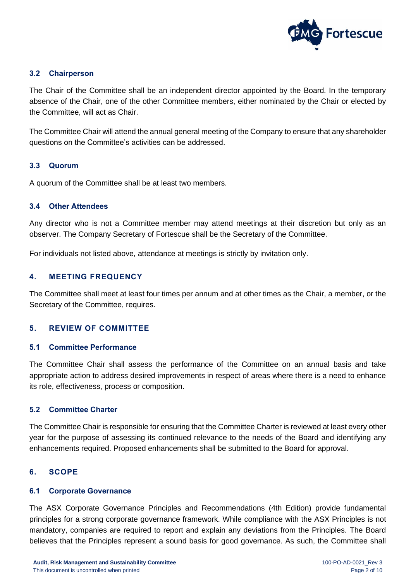

### **3.2 Chairperson**

The Chair of the Committee shall be an independent director appointed by the Board. In the temporary absence of the Chair, one of the other Committee members, either nominated by the Chair or elected by the Committee, will act as Chair.

The Committee Chair will attend the annual general meeting of the Company to ensure that any shareholder questions on the Committee's activities can be addressed.

#### **3.3 Quorum**

A quorum of the Committee shall be at least two members.

#### **3.4 Other Attendees**

Any director who is not a Committee member may attend meetings at their discretion but only as an observer. The Company Secretary of Fortescue shall be the Secretary of the Committee.

For individuals not listed above, attendance at meetings is strictly by invitation only.

### **4. MEETING FREQUENCY**

The Committee shall meet at least four times per annum and at other times as the Chair, a member, or the Secretary of the Committee, requires.

#### **5. REVIEW OF COMMITTEE**

#### **5.1 Committee Performance**

The Committee Chair shall assess the performance of the Committee on an annual basis and take appropriate action to address desired improvements in respect of areas where there is a need to enhance its role, effectiveness, process or composition.

#### **5.2 Committee Charter**

The Committee Chair is responsible for ensuring that the Committee Charter is reviewed at least every other year for the purpose of assessing its continued relevance to the needs of the Board and identifying any enhancements required. Proposed enhancements shall be submitted to the Board for approval.

#### **6. SCOPE**

#### **6.1 Corporate Governance**

The ASX Corporate Governance Principles and Recommendations (4th Edition) provide fundamental principles for a strong corporate governance framework. While compliance with the ASX Principles is not mandatory, companies are required to report and explain any deviations from the Principles. The Board believes that the Principles represent a sound basis for good governance. As such, the Committee shall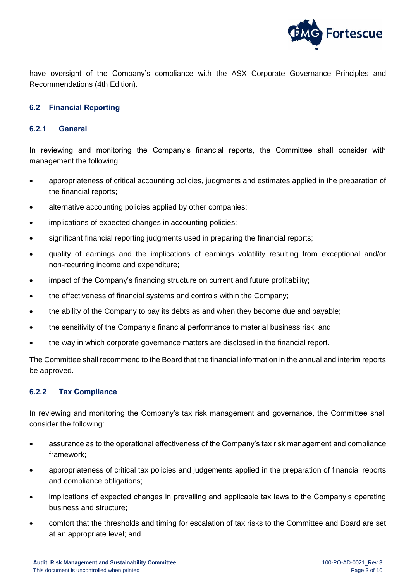

have oversight of the Company's compliance with the ASX Corporate Governance Principles and Recommendations (4th Edition).

# **6.2 Financial Reporting**

#### **6.2.1 General**

In reviewing and monitoring the Company's financial reports, the Committee shall consider with management the following:

- appropriateness of critical accounting policies, judgments and estimates applied in the preparation of the financial reports;
- alternative accounting policies applied by other companies;
- implications of expected changes in accounting policies;
- significant financial reporting judgments used in preparing the financial reports;
- quality of earnings and the implications of earnings volatility resulting from exceptional and/or non-recurring income and expenditure;
- impact of the Company's financing structure on current and future profitability;
- the effectiveness of financial systems and controls within the Company;
- the ability of the Company to pay its debts as and when they become due and payable;
- the sensitivity of the Company's financial performance to material business risk; and
- the way in which corporate governance matters are disclosed in the financial report.

The Committee shall recommend to the Board that the financial information in the annual and interim reports be approved.

#### **6.2.2 Tax Compliance**

In reviewing and monitoring the Company's tax risk management and governance, the Committee shall consider the following:

- assurance as to the operational effectiveness of the Company's tax risk management and compliance framework;
- appropriateness of critical tax policies and judgements applied in the preparation of financial reports and compliance obligations;
- implications of expected changes in prevailing and applicable tax laws to the Company's operating business and structure;
- comfort that the thresholds and timing for escalation of tax risks to the Committee and Board are set at an appropriate level; and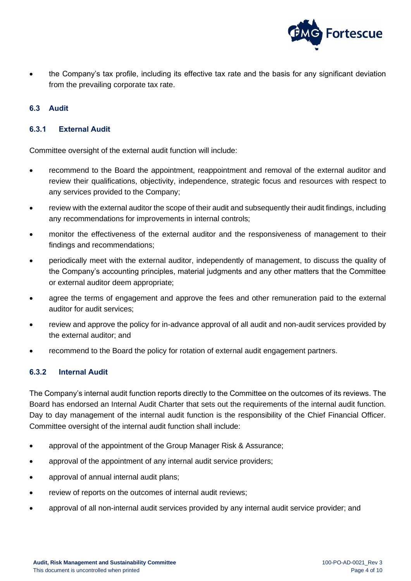

• the Company's tax profile, including its effective tax rate and the basis for any significant deviation from the prevailing corporate tax rate.

### **6.3 Audit**

### **6.3.1 External Audit**

Committee oversight of the external audit function will include:

- recommend to the Board the appointment, reappointment and removal of the external auditor and review their qualifications, objectivity, independence, strategic focus and resources with respect to any services provided to the Company;
- review with the external auditor the scope of their audit and subsequently their audit findings, including any recommendations for improvements in internal controls;
- monitor the effectiveness of the external auditor and the responsiveness of management to their findings and recommendations;
- periodically meet with the external auditor, independently of management, to discuss the quality of the Company's accounting principles, material judgments and any other matters that the Committee or external auditor deem appropriate;
- agree the terms of engagement and approve the fees and other remuneration paid to the external auditor for audit services;
- review and approve the policy for in-advance approval of all audit and non-audit services provided by the external auditor; and
- recommend to the Board the policy for rotation of external audit engagement partners.

#### **6.3.2 Internal Audit**

The Company's internal audit function reports directly to the Committee on the outcomes of its reviews. The Board has endorsed an Internal Audit Charter that sets out the requirements of the internal audit function. Day to day management of the internal audit function is the responsibility of the Chief Financial Officer. Committee oversight of the internal audit function shall include:

- approval of the appointment of the Group Manager Risk & Assurance;
- approval of the appointment of any internal audit service providers;
- approval of annual internal audit plans;
- review of reports on the outcomes of internal audit reviews;
- approval of all non-internal audit services provided by any internal audit service provider; and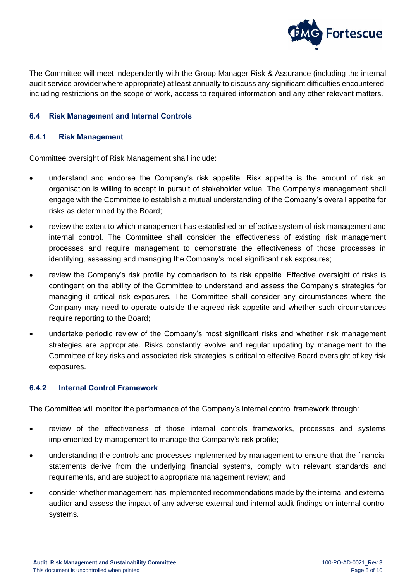

The Committee will meet independently with the Group Manager Risk & Assurance (including the internal audit service provider where appropriate) at least annually to discuss any significant difficulties encountered, including restrictions on the scope of work, access to required information and any other relevant matters.

#### **6.4 Risk Management and Internal Controls**

#### **6.4.1 Risk Management**

Committee oversight of Risk Management shall include:

- understand and endorse the Company's risk appetite. Risk appetite is the amount of risk an organisation is willing to accept in pursuit of stakeholder value. The Company's management shall engage with the Committee to establish a mutual understanding of the Company's overall appetite for risks as determined by the Board;
- review the extent to which management has established an effective system of risk management and internal control. The Committee shall consider the effectiveness of existing risk management processes and require management to demonstrate the effectiveness of those processes in identifying, assessing and managing the Company's most significant risk exposures;
- review the Company's risk profile by comparison to its risk appetite. Effective oversight of risks is contingent on the ability of the Committee to understand and assess the Company's strategies for managing it critical risk exposures. The Committee shall consider any circumstances where the Company may need to operate outside the agreed risk appetite and whether such circumstances require reporting to the Board;
- undertake periodic review of the Company's most significant risks and whether risk management strategies are appropriate. Risks constantly evolve and regular updating by management to the Committee of key risks and associated risk strategies is critical to effective Board oversight of key risk exposures.

#### **6.4.2 Internal Control Framework**

The Committee will monitor the performance of the Company's internal control framework through:

- review of the effectiveness of those internal controls frameworks, processes and systems implemented by management to manage the Company's risk profile;
- understanding the controls and processes implemented by management to ensure that the financial statements derive from the underlying financial systems, comply with relevant standards and requirements, and are subject to appropriate management review; and
- consider whether management has implemented recommendations made by the internal and external auditor and assess the impact of any adverse external and internal audit findings on internal control systems.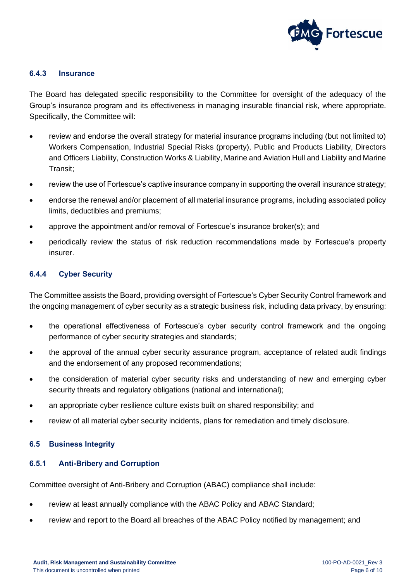

#### **6.4.3 Insurance**

The Board has delegated specific responsibility to the Committee for oversight of the adequacy of the Group's insurance program and its effectiveness in managing insurable financial risk, where appropriate. Specifically, the Committee will:

- review and endorse the overall strategy for material insurance programs including (but not limited to) Workers Compensation, Industrial Special Risks (property), Public and Products Liability, Directors and Officers Liability, Construction Works & Liability, Marine and Aviation Hull and Liability and Marine Transit;
- review the use of Fortescue's captive insurance company in supporting the overall insurance strategy;
- endorse the renewal and/or placement of all material insurance programs, including associated policy limits, deductibles and premiums;
- approve the appointment and/or removal of Fortescue's insurance broker(s); and
- periodically review the status of risk reduction recommendations made by Fortescue's property insurer.

#### **6.4.4 Cyber Security**

The Committee assists the Board, providing oversight of Fortescue's Cyber Security Control framework and the ongoing management of cyber security as a strategic business risk, including data privacy, by ensuring:

- the operational effectiveness of Fortescue's cyber security control framework and the ongoing performance of cyber security strategies and standards;
- the approval of the annual cyber security assurance program, acceptance of related audit findings and the endorsement of any proposed recommendations;
- the consideration of material cyber security risks and understanding of new and emerging cyber security threats and regulatory obligations (national and international);
- an appropriate cyber resilience culture exists built on shared responsibility; and
- review of all material cyber security incidents, plans for remediation and timely disclosure.

#### **6.5 Business Integrity**

#### **6.5.1 Anti-Bribery and Corruption**

Committee oversight of Anti-Bribery and Corruption (ABAC) compliance shall include:

- review at least annually compliance with the ABAC Policy and ABAC Standard;
- review and report to the Board all breaches of the ABAC Policy notified by management; and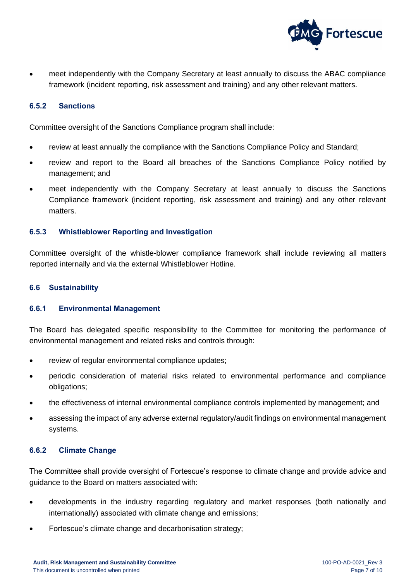

• meet independently with the Company Secretary at least annually to discuss the ABAC compliance framework (incident reporting, risk assessment and training) and any other relevant matters.

#### **6.5.2 Sanctions**

Committee oversight of the Sanctions Compliance program shall include:

- review at least annually the compliance with the Sanctions Compliance Policy and Standard;
- review and report to the Board all breaches of the Sanctions Compliance Policy notified by management; and
- meet independently with the Company Secretary at least annually to discuss the Sanctions Compliance framework (incident reporting, risk assessment and training) and any other relevant matters.

#### **6.5.3 Whistleblower Reporting and Investigation**

Committee oversight of the whistle-blower compliance framework shall include reviewing all matters reported internally and via the external Whistleblower Hotline.

#### **6.6 Sustainability**

#### **6.6.1 Environmental Management**

The Board has delegated specific responsibility to the Committee for monitoring the performance of environmental management and related risks and controls through:

- review of regular environmental compliance updates;
- periodic consideration of material risks related to environmental performance and compliance obligations;
- the effectiveness of internal environmental compliance controls implemented by management; and
- assessing the impact of any adverse external regulatory/audit findings on environmental management systems.

#### **6.6.2 Climate Change**

The Committee shall provide oversight of Fortescue's response to climate change and provide advice and guidance to the Board on matters associated with:

- developments in the industry regarding regulatory and market responses (both nationally and internationally) associated with climate change and emissions;
- Fortescue's climate change and decarbonisation strategy;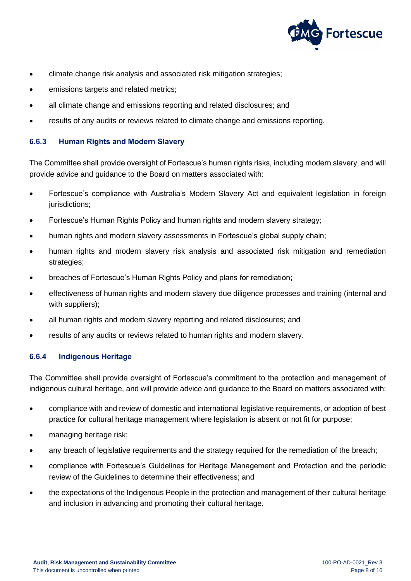

- climate change risk analysis and associated risk mitigation strategies;
- emissions targets and related metrics;
- all climate change and emissions reporting and related disclosures; and
- results of any audits or reviews related to climate change and emissions reporting.

### **6.6.3 Human Rights and Modern Slavery**

The Committee shall provide oversight of Fortescue's human rights risks, including modern slavery, and will provide advice and guidance to the Board on matters associated with:

- Fortescue's compliance with Australia's Modern Slavery Act and equivalent legislation in foreign jurisdictions;
- Fortescue's Human Rights Policy and human rights and modern slavery strategy;
- human rights and modern slavery assessments in Fortescue's global supply chain;
- human rights and modern slavery risk analysis and associated risk mitigation and remediation strategies;
- breaches of Fortescue's Human Rights Policy and plans for remediation;
- effectiveness of human rights and modern slavery due diligence processes and training (internal and with suppliers);
- all human rights and modern slavery reporting and related disclosures; and
- results of any audits or reviews related to human rights and modern slavery.

# **6.6.4 Indigenous Heritage**

The Committee shall provide oversight of Fortescue's commitment to the protection and management of indigenous cultural heritage, and will provide advice and guidance to the Board on matters associated with:

- compliance with and review of domestic and international legislative requirements, or adoption of best practice for cultural heritage management where legislation is absent or not fit for purpose;
- managing heritage risk;
- any breach of legislative requirements and the strategy required for the remediation of the breach;
- compliance with Fortescue's Guidelines for Heritage Management and Protection and the periodic review of the Guidelines to determine their effectiveness; and
- the expectations of the Indigenous People in the protection and management of their cultural heritage and inclusion in advancing and promoting their cultural heritage.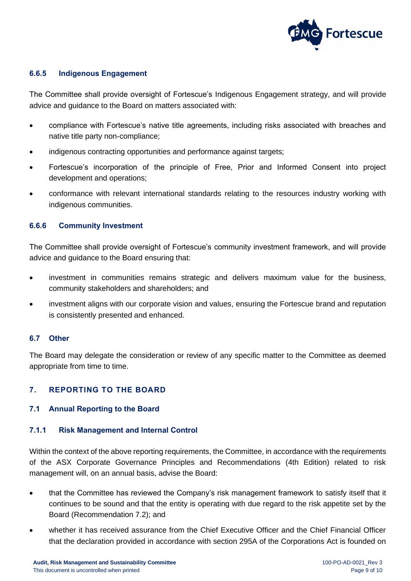

### **6.6.5 Indigenous Engagement**

The Committee shall provide oversight of Fortescue's Indigenous Engagement strategy, and will provide advice and guidance to the Board on matters associated with:

- compliance with Fortescue's native title agreements, including risks associated with breaches and native title party non-compliance;
- indigenous contracting opportunities and performance against targets;
- Fortescue's incorporation of the principle of Free, Prior and Informed Consent into project development and operations;
- conformance with relevant international standards relating to the resources industry working with indigenous communities.

#### **6.6.6 Community Investment**

The Committee shall provide oversight of Fortescue's community investment framework, and will provide advice and guidance to the Board ensuring that:

- investment in communities remains strategic and delivers maximum value for the business, community stakeholders and shareholders; and
- investment aligns with our corporate vision and values, ensuring the Fortescue brand and reputation is consistently presented and enhanced.

#### **6.7 Other**

The Board may delegate the consideration or review of any specific matter to the Committee as deemed appropriate from time to time.

# **7. REPORTING TO THE BOARD**

#### **7.1 Annual Reporting to the Board**

#### **7.1.1 Risk Management and Internal Control**

Within the context of the above reporting requirements, the Committee, in accordance with the requirements of the ASX Corporate Governance Principles and Recommendations (4th Edition) related to risk management will, on an annual basis, advise the Board:

- that the Committee has reviewed the Company's risk management framework to satisfy itself that it continues to be sound and that the entity is operating with due regard to the risk appetite set by the Board (Recommendation 7.2); and
- whether it has received assurance from the Chief Executive Officer and the Chief Financial Officer that the declaration provided in accordance with section 295A of the Corporations Act is founded on